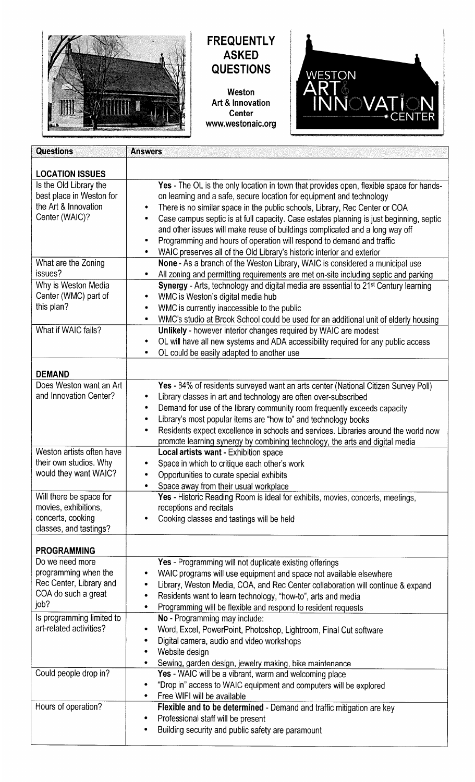

# **FREQUENTLY ASKED QUESTIONS**

Weston Art & Innovation Center www.westonaic.org



| <b>Questions</b>                                                                                                       | <b>Answers</b>                                                                                                                                                                                                                                                                                                                                                                                                                                                                                                                                                                                   |
|------------------------------------------------------------------------------------------------------------------------|--------------------------------------------------------------------------------------------------------------------------------------------------------------------------------------------------------------------------------------------------------------------------------------------------------------------------------------------------------------------------------------------------------------------------------------------------------------------------------------------------------------------------------------------------------------------------------------------------|
|                                                                                                                        |                                                                                                                                                                                                                                                                                                                                                                                                                                                                                                                                                                                                  |
| <b>LOCATION ISSUES</b><br>Is the Old Library the<br>best place in Weston for<br>the Art & Innovation<br>Center (WAIC)? | Yes - The OL is the only location in town that provides open, flexible space for hands-<br>on learning and a safe, secure location for equipment and technology<br>There is no similar space in the public schools, Library, Rec Center or COA<br>۰<br>Case campus septic is at full capacity. Case estates planning is just beginning, septic<br>٠<br>and other issues will make reuse of buildings complicated and a long way off<br>Programming and hours of operation will respond to demand and traffic<br>٠<br>WAIC preserves all of the Old Library's historic interior and exterior<br>۰ |
| What are the Zoning                                                                                                    | None - As a branch of the Weston Library, WAIC is considered a municipal use                                                                                                                                                                                                                                                                                                                                                                                                                                                                                                                     |
| issues?                                                                                                                | All zoning and permitting requirements are met on-site including septic and parking<br>۰                                                                                                                                                                                                                                                                                                                                                                                                                                                                                                         |
| Why is Weston Media<br>Center (WMC) part of<br>this plan?                                                              | Synergy - Arts, technology and digital media are essential to 21 <sup>st</sup> Century learning<br>WMC is Weston's digital media hub<br>WMC is currently inaccessible to the public<br>WMC's studio at Brook School could be used for an additional unit of elderly housing<br>$\bullet$                                                                                                                                                                                                                                                                                                         |
| What if WAIC fails?                                                                                                    | Unlikely - however interior changes required by WAIC are modest<br>OL will have all new systems and ADA accessibility required for any public access<br>٠<br>OL could be easily adapted to another use<br>٠                                                                                                                                                                                                                                                                                                                                                                                      |
| <b>DEMAND</b>                                                                                                          |                                                                                                                                                                                                                                                                                                                                                                                                                                                                                                                                                                                                  |
| Does Weston want an Art<br>and Innovation Center?                                                                      | Yes - 84% of residents surveyed want an arts center (National Citizen Survey Poll)<br>Library classes in art and technology are often over-subscribed<br>Demand for use of the library community room frequently exceeds capacity<br>٠<br>Library's most popular items are "how to" and technology books<br>٠<br>Residents expect excellence in schools and services. Libraries around the world now<br>٠<br>promote learning synergy by combining technology, the arts and digital media                                                                                                        |
| Weston artists often have<br>their own studios. Why<br>would they want WAIC?                                           | Local artists want - Exhibition space<br>Space in which to critique each other's work<br>Opportunities to curate special exhibits<br>Space away from their usual workplace<br>٠                                                                                                                                                                                                                                                                                                                                                                                                                  |
| Will there be space for<br>movies, exhibitions,<br>concerts, cooking<br>classes, and tastings?                         | Yes - Historic Reading Room is ideal for exhibits, movies, concerts, meetings,<br>receptions and recitals<br>Cooking classes and tastings will be held<br>۰                                                                                                                                                                                                                                                                                                                                                                                                                                      |
| <b>PROGRAMMING</b>                                                                                                     |                                                                                                                                                                                                                                                                                                                                                                                                                                                                                                                                                                                                  |
| Do we need more<br>programming when the<br>Rec Center, Library and<br>COA do such a great<br>job?                      | Yes - Programming will not duplicate existing offerings<br>WAIC programs will use equipment and space not available elsewhere<br>Library, Weston Media, COA, and Rec Center collaboration will continue & expand<br>٠<br>Residents want to learn technology, "how-to", arts and media<br>٠<br>Programming will be flexible and respond to resident requests<br>٠                                                                                                                                                                                                                                 |
| Is programming limited to<br>art-related activities?                                                                   | No - Programming may include:<br>Word, Excel, PowerPoint, Photoshop, Lightroom, Final Cut software<br>٠<br>Digital camera, audio and video workshops<br>Website design<br>۰<br>Sewing, garden design, jewelry making, bike maintenance<br>٠                                                                                                                                                                                                                                                                                                                                                      |
| Could people drop in?                                                                                                  | Yes - WAIC will be a vibrant, warm and welcoming place<br>"Drop in" access to WAIC equipment and computers will be explored<br>Free WIFI will be available<br>٠                                                                                                                                                                                                                                                                                                                                                                                                                                  |
| Hours of operation?                                                                                                    | Flexible and to be determined - Demand and traffic mitigation are key<br>Professional staff will be present<br>٠<br>Building security and public safety are paramount<br>٠                                                                                                                                                                                                                                                                                                                                                                                                                       |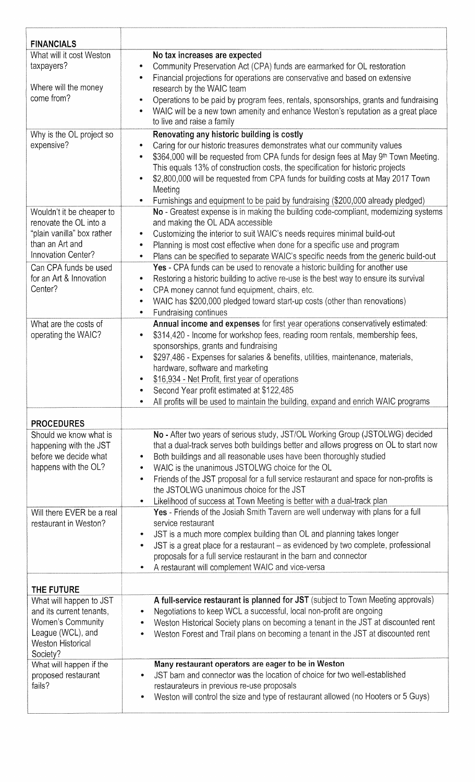| <b>FINANCIALS</b>                                                                                                                                       |                                                                                                                                                                                                                                                                                                                                                                                                                                                                                                                                                                                                                                                                                                                                                                                                                                                                                                                                                                  |
|---------------------------------------------------------------------------------------------------------------------------------------------------------|------------------------------------------------------------------------------------------------------------------------------------------------------------------------------------------------------------------------------------------------------------------------------------------------------------------------------------------------------------------------------------------------------------------------------------------------------------------------------------------------------------------------------------------------------------------------------------------------------------------------------------------------------------------------------------------------------------------------------------------------------------------------------------------------------------------------------------------------------------------------------------------------------------------------------------------------------------------|
| What will it cost Weston<br>taxpayers?<br>Where will the money<br>come from?                                                                            | No tax increases are expected<br>Community Preservation Act (CPA) funds are earmarked for OL restoration<br>۰<br>Financial projections for operations are conservative and based on extensive<br>۰<br>research by the WAIC team<br>Operations to be paid by program fees, rentals, sponsorships, grants and fundraising<br>۰<br>WAIC will be a new town amenity and enhance Weston's reputation as a great place<br>۰<br>to live and raise a family                                                                                                                                                                                                                                                                                                                                                                                                                                                                                                              |
| Why is the OL project so<br>expensive?<br>Wouldn't it be cheaper to                                                                                     | Renovating any historic building is costly<br>Caring for our historic treasures demonstrates what our community values<br>۰<br>\$364,000 will be requested from CPA funds for design fees at May 9th Town Meeting.<br>۰<br>This equals 13% of construction costs, the specification for historic projects<br>\$2,800,000 will be requested from CPA funds for building costs at May 2017 Town<br>Meeting<br>Furnishings and equipment to be paid by fundraising (\$200,000 already pledged)<br>۰<br>No - Greatest expense is in making the building code-compliant, modernizing systems                                                                                                                                                                                                                                                                                                                                                                          |
| renovate the OL into a<br>"plain vanilla" box rather<br>than an Art and<br>Innovation Center?                                                           | and making the OL ADA accessible<br>Customizing the interior to suit WAIC's needs requires minimal build-out<br>۰<br>Planning is most cost effective when done for a specific use and program<br>۰<br>Plans can be specified to separate WAIC's specific needs from the generic build-out<br>۰                                                                                                                                                                                                                                                                                                                                                                                                                                                                                                                                                                                                                                                                   |
| Can CPA funds be used<br>for an Art & Innovation<br>Center?                                                                                             | Yes - CPA funds can be used to renovate a historic building for another use<br>Restoring a historic building to active re-use is the best way to ensure its survival<br>۰<br>CPA money cannot fund equipment, chairs, etc.<br>۰<br>WAIC has \$200,000 pledged toward start-up costs (other than renovations)<br>$\bullet$<br>Fundraising continues<br>۰                                                                                                                                                                                                                                                                                                                                                                                                                                                                                                                                                                                                          |
| What are the costs of<br>operating the WAIC?                                                                                                            | Annual income and expenses for first year operations conservatively estimated:<br>\$314,420 - Income for workshop fees, reading room rentals, membership fees,<br>$\bullet$<br>sponsorships, grants and fundraising<br>\$297,486 - Expenses for salaries & benefits, utilities, maintenance, materials,<br>$\bullet$<br>hardware, software and marketing<br>\$16,934 - Net Profit, first year of operations<br>Second Year profit estimated at \$122,485<br>All profits will be used to maintain the building, expand and enrich WAIC programs<br>$\bullet$                                                                                                                                                                                                                                                                                                                                                                                                      |
| <b>PROCEDURES</b>                                                                                                                                       |                                                                                                                                                                                                                                                                                                                                                                                                                                                                                                                                                                                                                                                                                                                                                                                                                                                                                                                                                                  |
| Should we know what is<br>happening with the JST<br>before we decide what<br>happens with the OL?<br>Will there EVER be a real<br>restaurant in Weston? | No - After two years of serious study, JST/OL Working Group (JSTOLWG) decided<br>that a dual-track serves both buildings better and allows progress on OL to start now<br>Both buildings and all reasonable uses have been thoroughly studied<br>۰<br>WAIC is the unanimous JSTOLWG choice for the OL<br>۰<br>Friends of the JST proposal for a full service restaurant and space for non-profits is<br>۰<br>the JSTOLWG unanimous choice for the JST<br>Likelihood of success at Town Meeting is better with a dual-track plan<br>$\bullet$<br>Yes - Friends of the Josiah Smith Tavern are well underway with plans for a full<br>service restaurant<br>JST is a much more complex building than OL and planning takes longer<br>۰<br>JST is a great place for a restaurant - as evidenced by two complete, professional<br>$\bullet$<br>proposals for a full service restaurant in the barn and connector<br>A restaurant will complement WAIC and vice-versa |
| THE FUTURE                                                                                                                                              |                                                                                                                                                                                                                                                                                                                                                                                                                                                                                                                                                                                                                                                                                                                                                                                                                                                                                                                                                                  |
| What will happen to JST<br>and its current tenants,<br>Women's Community<br>League (WCL), and<br><b>Weston Historical</b><br>Society?                   | A full-service restaurant is planned for JST (subject to Town Meeting approvals)<br>Negotiations to keep WCL a successful, local non-profit are ongoing<br>۰<br>Weston Historical Society plans on becoming a tenant in the JST at discounted rent<br>$\bullet$<br>Weston Forest and Trail plans on becoming a tenant in the JST at discounted rent<br>۰                                                                                                                                                                                                                                                                                                                                                                                                                                                                                                                                                                                                         |
| What will happen if the<br>proposed restaurant<br>fails?                                                                                                | Many restaurant operators are eager to be in Weston<br>JST barn and connector was the location of choice for two well-established<br>۰<br>restaurateurs in previous re-use proposals<br>Weston will control the size and type of restaurant allowed (no Hooters or 5 Guys)<br>۰                                                                                                                                                                                                                                                                                                                                                                                                                                                                                                                                                                                                                                                                                  |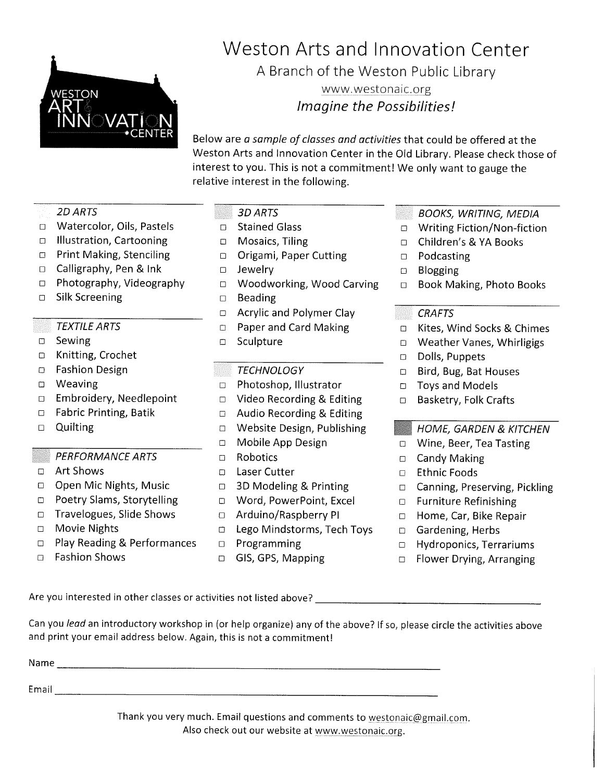

# Weston Arts and Innovation Center

A Branch of the Weston Public Library

www.westonaic.org Imagine the Possibilities!

Below are a sample of classes and activities that could be offered at the Weston Arts and Innovation Center in the Old Library. Please check those of interest to you. This is not a commitment! We only want to gauge the relative interest in the following.

#### **2D ARTS**

- Watercolor, Oils, Pastels  $\Box$
- □ Illustration, Cartooning
- □ Print Making, Stenciling
- $\Box$  Calligraphy, Pen & Ink
- □ Photography, Videography
- Silk Screening  $\Box$

#### **TEXTILE ARTS**

- Sewing  $\Box$
- □ Knitting, Crochet
- **Fashion Design**  $\Box$
- □ Weaving
- □ Embroidery, Needlepoint
- □ Fabric Printing, Batik
- $\Box$  Quilting

#### **PERFORMANCE ARTS**

- □ Art Shows
- □ Open Mic Nights, Music
- D Poetry Slams, Storytelling
- □ Travelogues, Slide Shows
- □ Movie Nights
- □ Play Reading & Performances
- **Fashion Shows**  $\Box$

#### 3D ARTS

- □ Stained Glass
- D Mosaics, Tiling
- D Origami, Paper Cutting
- $\Box$  Jewelry
- □ Woodworking, Wood Carving
- $\square$  Beading
- $\Box$  Acrylic and Polymer Clay
- **D** Paper and Card Making
- □ Sculpture

#### **TECHNOLOGY**

- D Photoshop, Illustrator
- $\Box$  Video Recording & Editing
- $\Box$  Audio Recording & Editing
- □ Website Design, Publishing
- Mobile App Design  $\Box$
- $\Box$  Robotics
- D Laser Cutter
- $\Box$  3D Modeling & Printing
- D Word, PowerPoint, Excel
- □ Arduino/Raspberry PI
- □ Lego Mindstorms, Tech Toys
- $\Box$  Programming
- □ GIS, GPS, Mapping
- **BOOKS, WRITING, MEDIA**
- Writing Fiction/Non-fiction  $\Box$
- Children's & YA Books  $\Box$
- Podcasting  $\Box$
- **Blogging**  $\Box$
- $\Box$ Book Making, Photo Books

## **CRAFTS**

- Kites, Wind Socks & Chimes  $\square$
- D Weather Vanes, Whirligigs
- Dolls, Puppets  $\Box$
- Bird, Bug, Bat Houses  $\Box$
- **Toys and Models**  $\Box$
- Basketry, Folk Crafts  $\Box$

## **HOME, GARDEN & KITCHEN**

- □ Wine, Beer, Tea Tasting
- □ Candy Making
- **D** Ethnic Foods
- □ Canning, Preserving, Pickling
- **D** Furniture Refinishing
- □ Home, Car, Bike Repair
- □ Gardening, Herbs
- $\Box$  Hydroponics, Terrariums
- □ Flower Drying, Arranging

Are you interested in other classes or activities not listed above?

Can you lead an introductory workshop in (or help organize) any of the above? If so, please circle the activities above and print your email address below. Again, this is not a commitment!

| Name<br>The contract of the contract service |  |       |  |
|----------------------------------------------|--|-------|--|
| Email                                        |  | ----- |  |

Thank you very much. Email questions and comments to westonaic@gmail.com. Also check out our website at www.westonaic.org.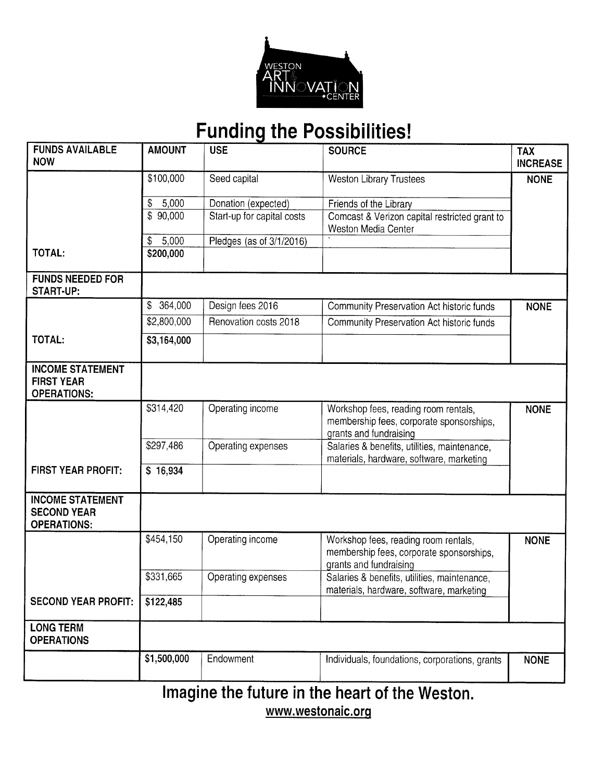

# **Funding the Possibilities!**

| <b>FUNDS AVAILABLE</b><br><b>NOW</b>                                | <b>AMOUNT</b> | <b>USE</b>                 | <b>SOURCE</b>                                                                                              | <b>TAX</b><br><b>INCREASE</b> |
|---------------------------------------------------------------------|---------------|----------------------------|------------------------------------------------------------------------------------------------------------|-------------------------------|
|                                                                     | \$100,000     | Seed capital               | <b>Weston Library Trustees</b>                                                                             | <b>NONE</b>                   |
|                                                                     | \$<br>5,000   | Donation (expected)        | Friends of the Library                                                                                     |                               |
|                                                                     | \$90,000      | Start-up for capital costs | Comcast & Verizon capital restricted grant to<br>Weston Media Center                                       |                               |
|                                                                     | 5,000<br>\$   | Pledges (as of 3/1/2016)   |                                                                                                            |                               |
| TOTAL:                                                              | \$200,000     |                            |                                                                                                            |                               |
| <b>FUNDS NEEDED FOR</b><br><b>START-UP:</b>                         |               |                            |                                                                                                            |                               |
|                                                                     | 364,000<br>\$ | Design fees 2016           | Community Preservation Act historic funds                                                                  | <b>NONE</b>                   |
|                                                                     | \$2,800,000   | Renovation costs 2018      | Community Preservation Act historic funds                                                                  |                               |
| TOTAL:                                                              | \$3,164,000   |                            |                                                                                                            |                               |
| <b>INCOME STATEMENT</b><br><b>FIRST YEAR</b><br><b>OPERATIONS:</b>  |               |                            |                                                                                                            |                               |
|                                                                     | \$314,420     | Operating income           | Workshop fees, reading room rentals,<br>membership fees, corporate sponsorships,<br>grants and fundraising | <b>NONE</b>                   |
|                                                                     | \$297,486     | Operating expenses         | Salaries & benefits, utilities, maintenance,<br>materials, hardware, software, marketing                   |                               |
| <b>FIRST YEAR PROFIT:</b>                                           | \$16,934      |                            |                                                                                                            |                               |
| <b>INCOME STATEMENT</b><br><b>SECOND YEAR</b><br><b>OPERATIONS:</b> |               |                            |                                                                                                            |                               |
|                                                                     | \$454,150     | Operating income           | Workshop fees, reading room rentals,<br>membership fees, corporate sponsorships,<br>grants and fundraising | <b>NONE</b>                   |
|                                                                     | \$331,665     | Operating expenses         | Salaries & benefits, utilities, maintenance,<br>materials, hardware, software, marketing                   |                               |
| <b>SECOND YEAR PROFIT:</b>                                          | \$122,485     |                            |                                                                                                            |                               |
| <b>LONG TERM</b><br><b>OPERATIONS</b>                               |               |                            |                                                                                                            |                               |
|                                                                     | \$1,500,000   | Endowment                  | Individuals, foundations, corporations, grants                                                             | <b>NONE</b>                   |
|                                                                     |               |                            | Imagine the future in the heart of the Weston.                                                             |                               |

www.westonaic.org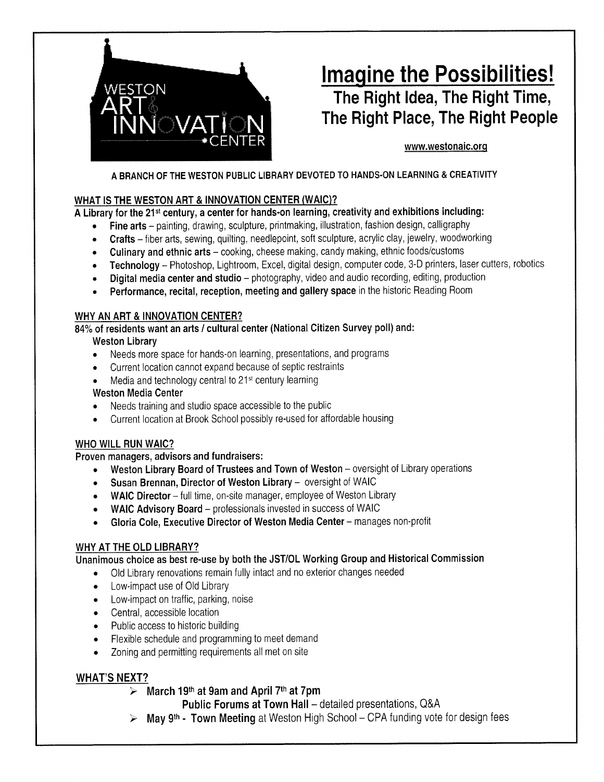

# **Imagine the Possibilities!** The Right Idea, The Right Time, The Right Place, The Right People

#### www.westonaic.org

#### A BRANCH OF THE WESTON PUBLIC LIBRARY DEVOTED TO HANDS-ON LEARNING & CREATIVITY

#### WHAT IS THE WESTON ART & INNOVATION CENTER (WAIC)?

A Library for the 21<sup>st</sup> century, a center for hands-on learning, creativity and exhibitions including:

- Fine arts painting, drawing, sculpture, printmaking, illustration, fashion design, calligraphy  $\bullet$
- Crafts fiber arts, sewing, quilting, needlepoint, soft sculpture, acrylic clay, jewelry, woodworking  $\bullet$
- Culinary and ethnic arts cooking, cheese making, candy making, ethnic foods/customs  $\bullet$
- Technology Photoshop, Lightroom, Excel, digital design, computer code, 3-D printers, laser cutters, robotics  $\bullet$
- Digital media center and studio photography, video and audio recording, editing, production  $\bullet$
- Performance, recital, reception, meeting and gallery space in the historic Reading Room

#### WHY AN ART & INNOVATION CENTER?

84% of residents want an arts / cultural center (National Citizen Survey poll) and:

#### **Weston Library**

- Needs more space for hands-on learning, presentations, and programs  $\bullet$
- Current location cannot expand because of septic restraints
- Media and technology central to 21<sup>st</sup> century learning

#### **Weston Media Center**

- Needs training and studio space accessible to the public  $\bullet$
- Current location at Brook School possibly re-used for affordable housing  $\bullet$

#### **WHO WILL RUN WAIC?**

#### Proven managers, advisors and fundraisers:

- Weston Library Board of Trustees and Town of Weston oversight of Library operations
- Susan Brennan, Director of Weston Library oversight of WAIC  $\bullet$
- WAIC Director full time, on-site manager, employee of Weston Library  $\bullet$
- WAIC Advisory Board professionals invested in success of WAIC
- Gloria Cole, Executive Director of Weston Media Center manages non-profit  $\bullet$

#### WHY AT THE OLD LIBRARY?

Unanimous choice as best re-use by both the JST/OL Working Group and Historical Commission

- Old Library renovations remain fully intact and no exterior changes needed
- Low-impact use of Old Library
- Low-impact on traffic, parking, noise
- Central, accessible location
- Public access to historic building
- Flexible schedule and programming to meet demand
- Zoning and permitting requirements all met on site

#### **WHAT'S NEXT?**

 $\triangleright$  March 19<sup>th</sup> at 9am and April 7<sup>th</sup> at 7pm

Public Forums at Town Hall - detailed presentations, Q&A

May 9th - Town Meeting at Weston High School - CPA funding vote for design fees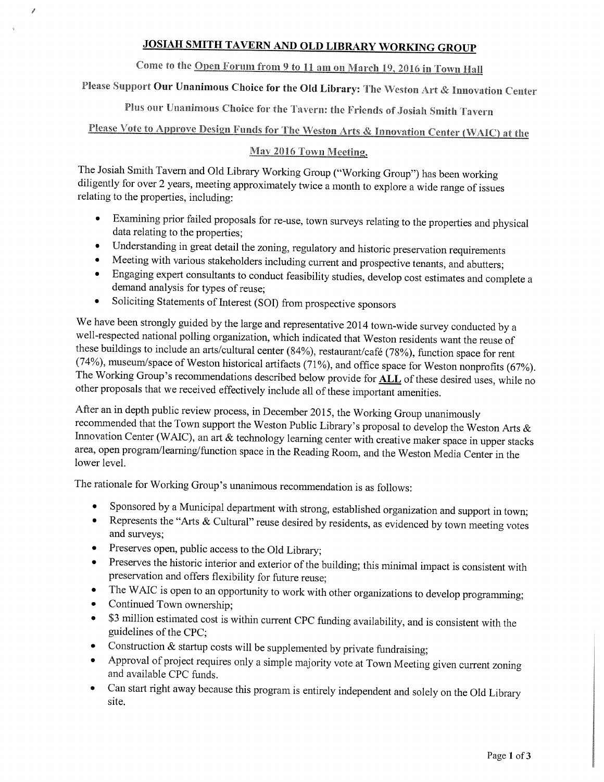### **JOSIAH SMITH TAVERN AND OLD LIBRARY WORKING GROUP**

# Come to the Open Forum from 9 to 11 am on March 19, 2016 in Town Hall

# Please Support Our Unanimous Choice for the Old Library: The Weston Art & Innovation Center

Plus our Unanimous Choice for the Tavern: the Friends of Josiah Smith Tavern

# Please Vote to Approve Design Funds for The Weston Arts & Innovation Center (WAIC) at the

#### May 2016 Town Meeting.

The Josiah Smith Tavern and Old Library Working Group ("Working Group") has been working diligently for over 2 years, meeting approximately twice a month to explore a wide range of issues relating to the properties, including:

- Examining prior failed proposals for re-use, town surveys relating to the properties and physical data relating to the properties;
- Understanding in great detail the zoning, regulatory and historic preservation requirements  $\bullet$
- Meeting with various stakeholders including current and prospective tenants, and abutters;
- Engaging expert consultants to conduct feasibility studies, develop cost estimates and complete a demand analysis for types of reuse;
- Soliciting Statements of Interest (SOI) from prospective sponsors  $\bullet$

We have been strongly guided by the large and representative 2014 town-wide survey conducted by a well-respected national polling organization, which indicated that Weston residents want the reuse of these buildings to include an arts/cultural center (84%), restaurant/café (78%), function space for rent (74%), museum/space of Weston historical artifacts (71%), and office space for Weston nonprofits (67%). The Working Group's recommendations described below provide for **ALL** of these desired uses, while no other proposals that we received effectively include all of these important amenities.

After an in depth public review process, in December 2015, the Working Group unanimously recommended that the Town support the Weston Public Library's proposal to develop the Weston Arts  $\&$ Innovation Center (WAIC), an art & technology learning center with creative maker space in upper stacks area, open program/learning/function space in the Reading Room, and the Weston Media Center in the lower level.

The rationale for Working Group's unanimous recommendation is as follows:

- Sponsored by a Municipal department with strong, established organization and support in town;
- Represents the "Arts & Cultural" reuse desired by residents, as evidenced by town meeting votes and surveys;
- Preserves open, public access to the Old Library;
- Preserves the historic interior and exterior of the building; this minimal impact is consistent with  $\bullet$ preservation and offers flexibility for future reuse;
- The WAIC is open to an opportunity to work with other organizations to develop programming;  $\bullet$
- Continued Town ownership;  $\bullet$
- \$3 million estimated cost is within current CPC funding availability, and is consistent with the guidelines of the CPC;
- Construction  $&$  startup costs will be supplemented by private fundraising;
- Approval of project requires only a simple majority vote at Town Meeting given current zoning and available CPC funds.
- Can start right away because this program is entirely independent and solely on the Old Library  $\bullet$ site.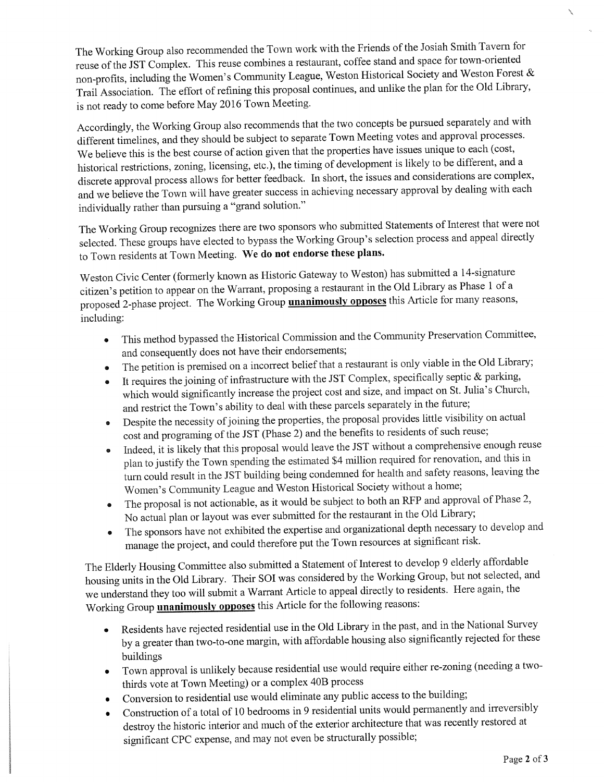The Working Group also recommended the Town work with the Friends of the Josiah Smith Tavern for reuse of the JST Complex. This reuse combines a restaurant, coffee stand and space for town-oriented non-profits, including the Women's Community League, Weston Historical Society and Weston Forest & Trail Association. The effort of refining this proposal continues, and unlike the plan for the Old Library, is not ready to come before May 2016 Town Meeting.

Accordingly, the Working Group also recommends that the two concepts be pursued separately and with different timelines, and they should be subject to separate Town Meeting votes and approval processes. We believe this is the best course of action given that the properties have issues unique to each (cost, historical restrictions, zoning, licensing, etc.), the timing of development is likely to be different, and a discrete approval process allows for better feedback. In short, the issues and considerations are complex, and we believe the Town will have greater success in achieving necessary approval by dealing with each individually rather than pursuing a "grand solution."

The Working Group recognizes there are two sponsors who submitted Statements of Interest that were not selected. These groups have elected to bypass the Working Group's selection process and appeal directly to Town residents at Town Meeting. We do not endorse these plans.

Weston Civic Center (formerly known as Historic Gateway to Weston) has submitted a 14-signature citizen's petition to appear on the Warrant, proposing a restaurant in the Old Library as Phase 1 of a proposed 2-phase project. The Working Group **unanimously opposes** this Article for many reasons, including:

- This method bypassed the Historical Commission and the Community Preservation Committee, and consequently does not have their endorsements;
- The petition is premised on a incorrect belief that a restaurant is only viable in the Old Library;
- It requires the joining of infrastructure with the JST Complex, specifically septic & parking,  $\bullet$ which would significantly increase the project cost and size, and impact on St. Julia's Church, and restrict the Town's ability to deal with these parcels separately in the future;
- Despite the necessity of joining the properties, the proposal provides little visibility on actual cost and programing of the JST (Phase 2) and the benefits to residents of such reuse;
- Indeed, it is likely that this proposal would leave the JST without a comprehensive enough reuse  $\bullet$ plan to justify the Town spending the estimated \$4 million required for renovation, and this in turn could result in the JST building being condemned for health and safety reasons, leaving the Women's Community League and Weston Historical Society without a home;
- The proposal is not actionable, as it would be subject to both an RFP and approval of Phase 2, No actual plan or layout was ever submitted for the restaurant in the Old Library;
- The sponsors have not exhibited the expertise and organizational depth necessary to develop and manage the project, and could therefore put the Town resources at significant risk.

The Elderly Housing Committee also submitted a Statement of Interest to develop 9 elderly affordable housing units in the Old Library. Their SOI was considered by the Working Group, but not selected, and we understand they too will submit a Warrant Article to appeal directly to residents. Here again, the Working Group **unanimously opposes** this Article for the following reasons:

- Residents have rejected residential use in the Old Library in the past, and in the National Survey by a greater than two-to-one margin, with affordable housing also significantly rejected for these buildings
- Town approval is unlikely because residential use would require either re-zoning (needing a twothirds vote at Town Meeting) or a complex 40B process
- Conversion to residential use would eliminate any public access to the building;
- Construction of a total of 10 bedrooms in 9 residential units would permanently and irreversibly destroy the historic interior and much of the exterior architecture that was recently restored at significant CPC expense, and may not even be structurally possible;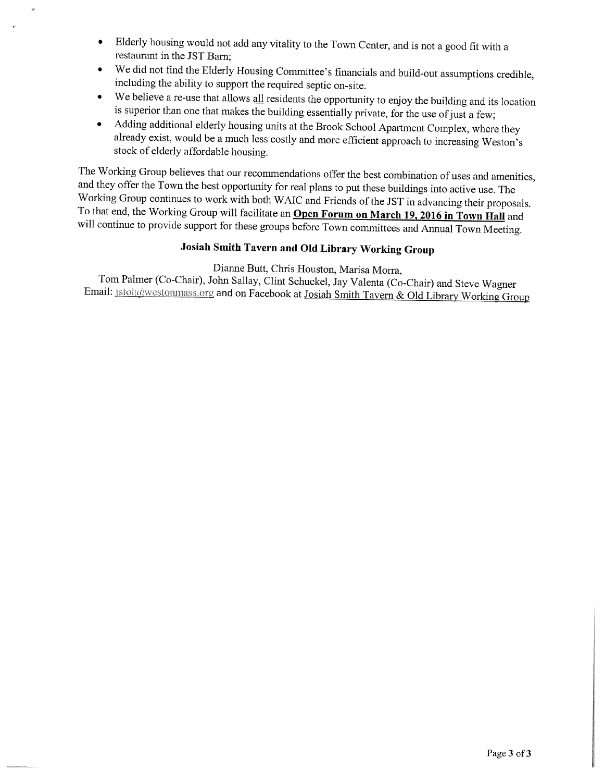- Elderly housing would not add any vitality to the Town Center, and is not a good fit with a  $\bullet$ restaurant in the JST Barn:
- We did not find the Elderly Housing Committee's financials and build-out assumptions credible, including the ability to support the required septic on-site.
- We believe a re-use that allows all residents the opportunity to enjoy the building and its location is superior than one that makes the building essentially private, for the use of just a few;
- Adding additional elderly housing units at the Brook School Apartment Complex, where they  $\bullet$ already exist, would be a much less costly and more efficient approach to increasing Weston's stock of elderly affordable housing.

The Working Group believes that our recommendations offer the best combination of uses and amenities, and they offer the Town the best opportunity for real plans to put these buildings into active use. The Working Group continues to work with both WAIC and Friends of the JST in advancing their proposals. To that end, the Working Group will facilitate an Open Forum on March 19, 2016 in Town Hall and will continue to provide support for these groups before Town committees and Annual Town Meeting.

## Josiah Smith Tavern and Old Library Working Group

Dianne Butt, Chris Houston, Marisa Morra,

Tom Palmer (Co-Chair), John Sallay, Clint Schuckel, Jay Valenta (Co-Chair) and Steve Wagner Email: istol@westonmass.org and on Facebook at Josiah Smith Tavern & Old Library Working Group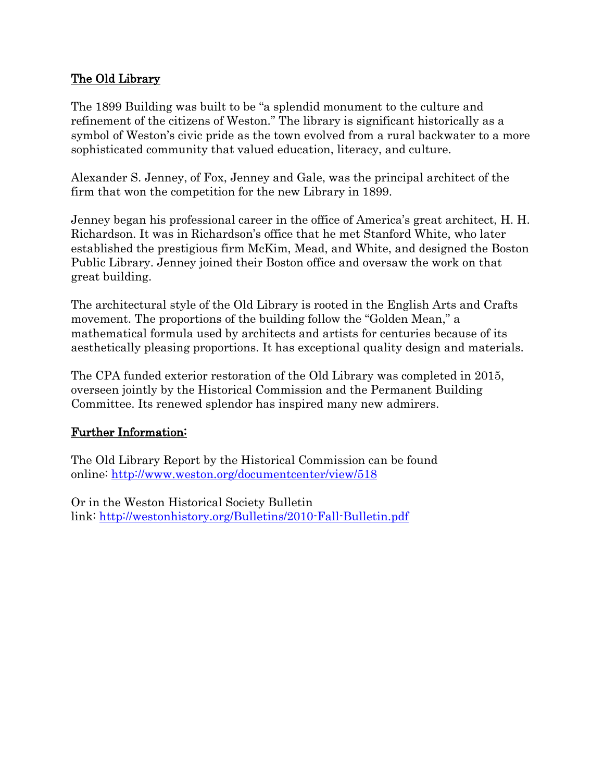## The Old Library

The 1899 Building was built to be "a splendid monument to the culture and refinement of the citizens of Weston." The library is significant historically as a symbol of Weston's civic pride as the town evolved from a rural backwater to a more sophisticated community that valued education, literacy, and culture.

Alexander S. Jenney, of Fox, Jenney and Gale, was the principal architect of the firm that won the competition for the new Library in 1899.

Jenney began his professional career in the office of America's great architect, H. H. Richardson. It was in Richardson's office that he met Stanford White, who later established the prestigious firm McKim, Mead, and White, and designed the Boston Public Library. Jenney joined their Boston office and oversaw the work on that great building.

The architectural style of the Old Library is rooted in the English Arts and Crafts movement. The proportions of the building follow the "Golden Mean," a mathematical formula used by architects and artists for centuries because of its aesthetically pleasing proportions. It has exceptional quality design and materials.

The CPA funded exterior restoration of the Old Library was completed in 2015, overseen jointly by the Historical Commission and the Permanent Building Committee. Its renewed splendor has inspired many new admirers.

## Further Information:

The Old Library Report by the Historical Commission can be found online:<http://www.weston.org/documentcenter/view/518>

Or in the Weston Historical Society Bulletin link:<http://westonhistory.org/Bulletins/2010-Fall-Bulletin.pdf>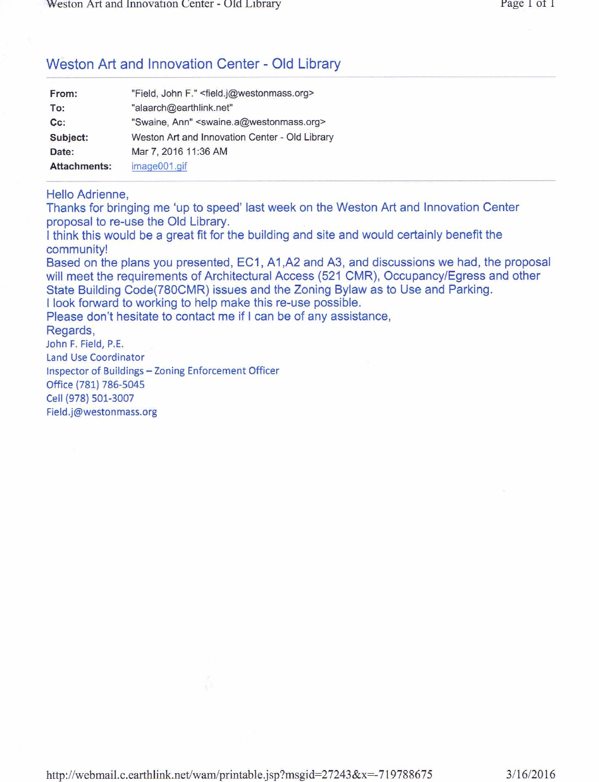## Weston Art and Innovation Center - Old Library

| From:               | "Field, John F." <field.j@westonmass.org></field.j@westonmass.org> |
|---------------------|--------------------------------------------------------------------|
| To:                 | "alaarch@earthlink.net"                                            |
| Cc:                 | "Swaine, Ann" <swaine.a@westonmass.org></swaine.a@westonmass.org>  |
| Subject:            | Weston Art and Innovation Center - Old Library                     |
| Date:               | Mar 7, 2016 11:36 AM                                               |
| <b>Attachments:</b> | image001.gif                                                       |

#### Hello Adrienne,

Thanks for bringing me 'up to speed' last week on the Weston Art and Innovation Center proposal to re-use the Old Library.

I think this would be a great fit for the building and site and would certainly benefit the community!

Based on the plans you presented, EC1, A1, A2 and A3, and discussions we had, the proposal will meet the requirements of Architectural Access (521 CMR), Occupancy/Egress and other State Building Code(780CMR) issues and the Zoning Bylaw as to Use and Parking. I look forward to working to help make this re-use possible.

Please don't hesitate to contact me if I can be of any assistance,

Regards,

John F. Field, P.E. **Land Use Coordinator** Inspector of Buildings - Zoning Enforcement Officer Office (781) 786-5045 Cell (978) 501-3007 Field.j@westonmass.org